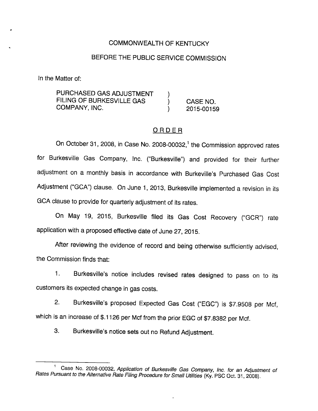## COMMONWEALTH OF KENTUCKY

# BEFORE THE PUBLIC SERVICE COMMISSION

In the Matter of:

PURCHASED GAS ADJUSTMENT FILING OF BURKESVILLE GAS (CASE NO. COMPANY, INC. (2015-00159)

### ORDER

On October 31, 2008, in Case No. 2008-00032,<sup>1</sup> the Commission approved rates for Burkesville Gas Company, Inc. ("Burkesville") and provided for their further adjustment on a monthly basis in accordance with Burkeville's Purchased Gas Cost Adjustment ("GCA") clause. On June 1, 2013, Burkesville implemented a revision in its GCA clause to provide for quarterly adjustment of its rates.

On May 19, 2015, Burkesville filed its Gas Cost Recovery ("GCR") rate application with a proposed effective date of June 27, 2015.

After reviewing the evidence of record and being otherwise sufficiently advised, the Commission finds that:

1. Burkesville's notice includes revised rates designed to pass on to its customers its expected change in gas costs.

2. Burkesville's proposed Expected Gas Cost ("EGC") is \$7.9508 per Mcf, which is an increase of \$.1126 per Mcf from the prior EGC of \$7.8382 per Mcf.

3. Burkesville's notice sets out no Refund Adjustment.

Case No. 2008-00032, Application of Burkesville Gas Company, Inc. for an Adjustment of Rates Pursuant to the Alternative Rate Filing Procedure for Small Utilities (Ky. PSC Oct. 31, 2008).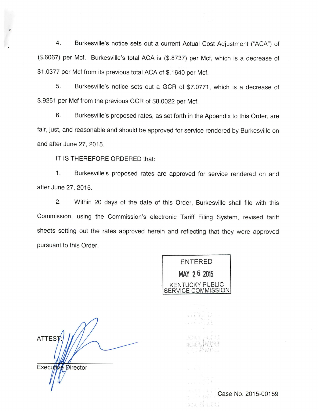4. Burkesville's notice sets out a current Actual Cost Adjustment ("ACA") of (\$.6067) per Met. Burkesville's total ACA is (\$.8737) per Met, which is a decrease of \$1.0377 per Mcf from its previous total ACA of \$.1640 per Mcf.

5. Burkesville's notice sets out a GCR of \$7.0771, which is a decrease of \$.9251 per Mcf from the previous GCR of \$8.0022 per Mcf.

6. Burkesville's proposed rates, as set forth in the Appendix to this Order, are fair, just, and reasonable and should be approved for service rendered by Burkesville on and after June 27, 2015.

IT IS THEREFORE ORDERED that:

1. Burkesville's proposed rates are approved for service rendered on and after June 27, 2015.

2. Within 20 days of the date of this Order, Burkesville shall file with this Commission, using the Commission's electronic Tariff Filing System, revised tariff sheets setting out the rates approved herein and reflecting that they were approved pursuant to this Order.

ENTERED MAY 26 2015 KENTUCKY PUBLIC VICE COMMISSION|

**ATTEST** Executive Director

 $I - 1$ HOKY Case No. 2015-00159KOKYÝ USLI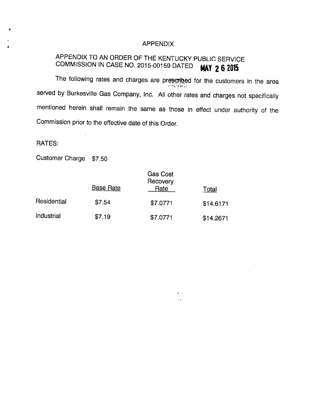#### APPENDIX

# APPENDIX TO AN ORDER OFTHE KENTUCKY PUBLIC SERVICE COMMISSION IN CASE NO. 2015-00159 DATED **MAY 26 2015**

The following rates and charges are prescribed for the customers in the area served by Burkesville Gas Company, Inc. All other rates and charges not specifically mentioned herein shall remain the same as those in effect under authority of the Commission prior to the effective date of this Order.

 $\begin{split} \mathcal{L} = \begin{bmatrix} \mathbf{W} & \mathbf{0} \\ \mathbf{0} & \mathbf{0} \end{bmatrix}, \\ \mathcal{L} = \begin{bmatrix} \mathbf{0} & \mathbf{0} \\ \mathbf{0} & \mathbf{0} \end{bmatrix}, \end{split}$ 

#### RATES:

Customer Charge \$7.50

|             | <b>Base Rate</b> | Gas Cost<br>Recovery<br>Rate | Total     |
|-------------|------------------|------------------------------|-----------|
| Residential | \$7.54           | \$7.0771                     | \$14.6171 |
| Industrial  | \$7.19           | \$7.0771                     | \$14.2671 |